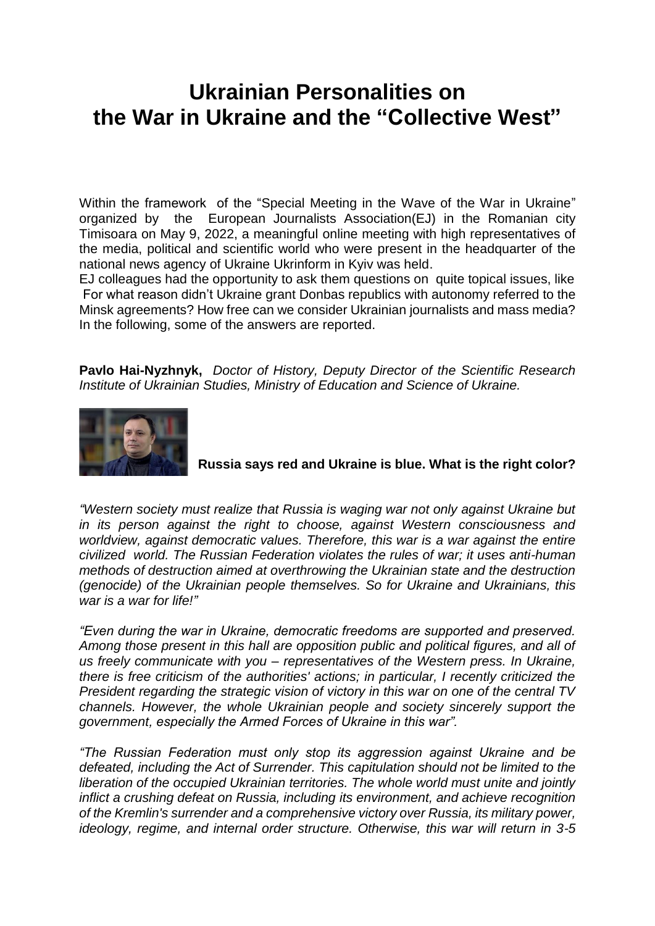## **Ukrainian Personalities on the War in Ukraine and the "Collective West"**

Within the framework of the "Special Meeting in the Wave of the War in Ukraine" organized by the European Journalists Association(EJ) in the Romanian city Timisoara on May 9, 2022, a meaningful online meeting with high representatives of the media, political and scientific world who were present in the headquarter of the national news agency of Ukraine Ukrinform in Kyiv was held.

EJ colleagues had the opportunity to ask them questions on quite topical issues, like For what reason didn't Ukraine grant Donbas republics with autonomy referred to the Minsk agreements? How free can we consider Ukrainian journalists and mass media? In the following, some of the answers are reported.

**Pavlo Hai-Nyzhnyk,** *Doctor of History, Deputy Director of the Scientific Research Institute of Ukrainian Studies, Ministry of Education and Science of Ukraine.*



**Russia says red and Ukraine is blue. What is the right color?**

*"Western society must realize that Russia is waging war not only against Ukraine but in its person against the right to choose, against Western consciousness and worldview, against democratic values. Therefore, this war is a war against the entire civilized world. The Russian Federation violates the rules of war; it uses anti-human methods of destruction aimed at overthrowing the Ukrainian state and the destruction (genocide) of the Ukrainian people themselves. So for Ukraine and Ukrainians, this war is a war for life!"*

*"Even during the war in Ukraine, democratic freedoms are supported and preserved. Among those present in this hall are opposition public and political figures, and all of us freely communicate with you – representatives of the Western press. In Ukraine, there is free criticism of the authorities' actions; in particular, I recently criticized the President regarding the strategic vision of victory in this war on one of the central TV channels. However, the whole Ukrainian people and society sincerely support the government, especially the Armed Forces of Ukraine in this war".*

*"The Russian Federation must only stop its aggression against Ukraine and be defeated, including the Act of Surrender. This capitulation should not be limited to the liberation of the occupied Ukrainian territories. The whole world must unite and jointly inflict a crushing defeat on Russia, including its environment, and achieve recognition of the Kremlin's surrender and a comprehensive victory over Russia, its military power, ideology, regime, and internal order structure. Otherwise, this war will return in 3-5*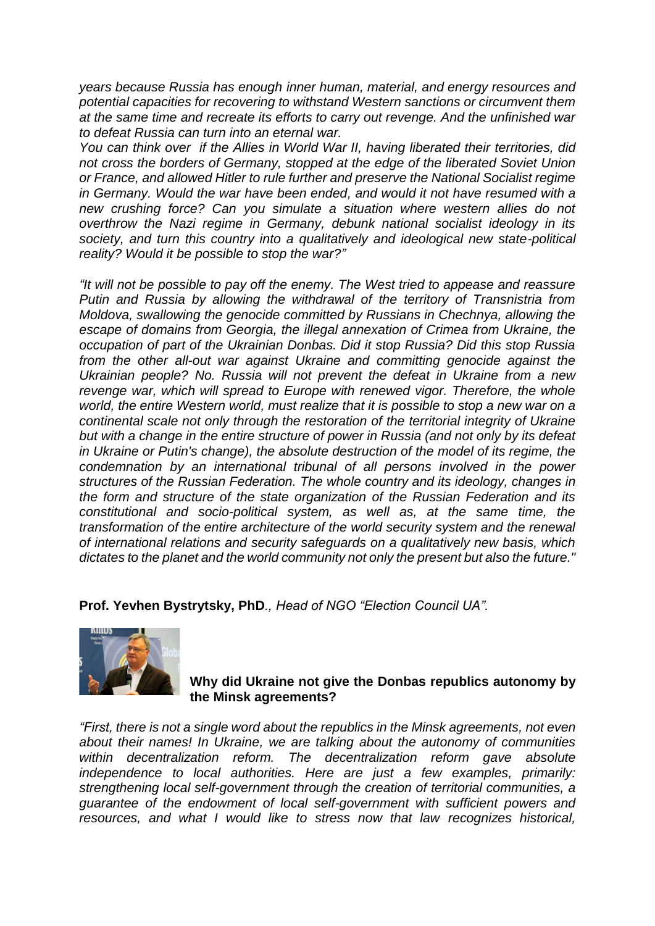*years because Russia has enough inner human, material, and energy resources and potential capacities for recovering to withstand Western sanctions or circumvent them at the same time and recreate its efforts to carry out revenge. And the unfinished war to defeat Russia can turn into an eternal war.*

*You can think over if the Allies in World War II, having liberated their territories, did not cross the borders of Germany, stopped at the edge of the liberated Soviet Union or France, and allowed Hitler to rule further and preserve the National Socialist regime in Germany. Would the war have been ended, and would it not have resumed with a new crushing force? Can you simulate a situation where western allies do not overthrow the Nazi regime in Germany, debunk national socialist ideology in its society, and turn this country into a qualitatively and ideological new state-political reality? Would it be possible to stop the war?"*

*"It will not be possible to pay off the enemy. The West tried to appease and reassure Putin and Russia by allowing the withdrawal of the territory of Transnistria from Moldova, swallowing the genocide committed by Russians in Chechnya, allowing the escape of domains from Georgia, the illegal annexation of Crimea from Ukraine, the occupation of part of the Ukrainian Donbas. Did it stop Russia? Did this stop Russia from the other all-out war against Ukraine and committing genocide against the Ukrainian people? No. Russia will not prevent the defeat in Ukraine from a new revenge war, which will spread to Europe with renewed vigor. Therefore, the whole world, the entire Western world, must realize that it is possible to stop a new war on a continental scale not only through the restoration of the territorial integrity of Ukraine but with a change in the entire structure of power in Russia (and not only by its defeat in Ukraine or Putin's change), the absolute destruction of the model of its regime, the condemnation by an international tribunal of all persons involved in the power structures of the Russian Federation. The whole country and its ideology, changes in the form and structure of the state organization of the Russian Federation and its constitutional and socio-political system, as well as, at the same time, the transformation of the entire architecture of the world security system and the renewal of international relations and security safeguards on a qualitatively new basis, which dictates to the planet and the world community not only the present but also the future."*

**Prof. Yevhen Bystrytsky, PhD***., Head of NGO "Election Council UA".*



## **Why did Ukraine not give the Donbas republics autonomy by the Minsk agreements?**

*"First, there is not a single word about the republics in the Minsk agreements, not even about their names! In Ukraine, we are talking about the autonomy of communities within decentralization reform. The decentralization reform gave absolute independence to local authorities. Here are just a few examples, primarily: strengthening local self-government through the creation of territorial communities, a*  guarantee of the endowment of local self-government with sufficient powers and *resources, and what I would like to stress now that law recognizes historical,*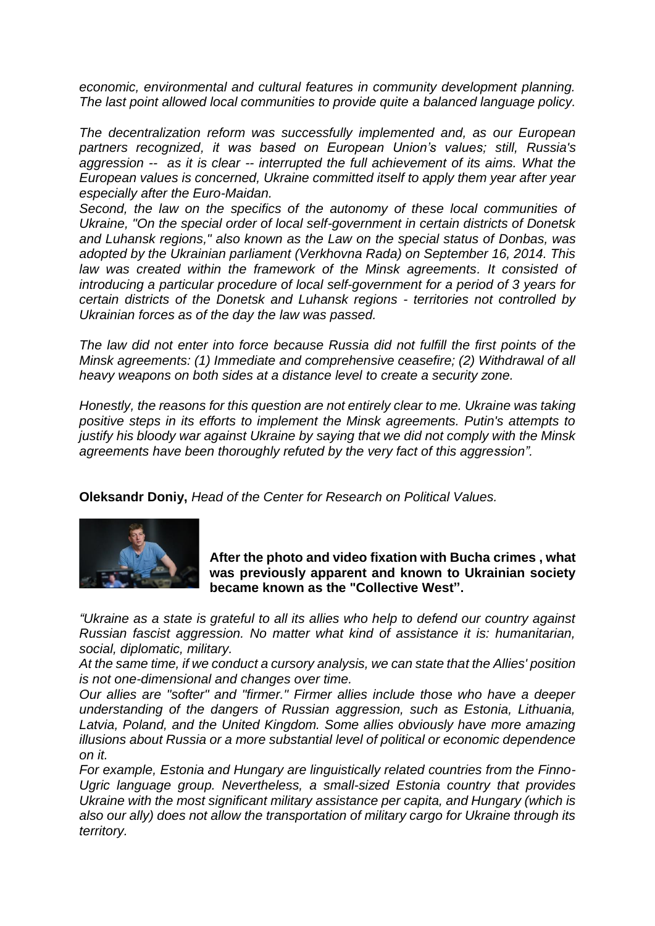*economic, environmental and cultural features in community development planning. The last point allowed local communities to provide quite a balanced language policy.* 

*The decentralization reform was successfully implemented and, as our European partners recognized, it was based on European Union's values; still, Russia's aggression -- as it is clear -- interrupted the full achievement of its aims. What the European values is concerned, Ukraine committed itself to apply them year after year especially after the Euro-Maidan.* 

*Second, the law on the specifics of the autonomy of these local communities of Ukraine, "On the special order of local self-government in certain districts of Donetsk and Luhansk regions," also known as the Law on the special status of Donbas, was adopted by the Ukrainian parliament (Verkhovna Rada) on September 16, 2014. This law was created within the framework of the Minsk agreements. It consisted of introducing a particular procedure of local self-government for a period of 3 years for certain districts of the Donetsk and Luhansk regions - territories not controlled by Ukrainian forces as of the day the law was passed.*

*The law did not enter into force because Russia did not fulfill the first points of the Minsk agreements: (1) Immediate and comprehensive ceasefire; (2) Withdrawal of all heavy weapons on both sides at a distance level to create a security zone.* 

*Honestly, the reasons for this question are not entirely clear to me. Ukraine was taking positive steps in its efforts to implement the Minsk agreements. Putin's attempts to justify his bloody war against Ukraine by saying that we did not comply with the Minsk agreements have been thoroughly refuted by the very fact of this aggression".*

**Oleksandr Doniy,** *Head of the Center for Research on Political Values.*



**After the photo and video fixation with Bucha crimes , what was previously apparent and known to Ukrainian society became known as the "Collective West".**

*"Ukraine as a state is grateful to all its allies who help to defend our country against Russian fascist aggression. No matter what kind of assistance it is: humanitarian, social, diplomatic, military.*

*At the same time, if we conduct a cursory analysis, we can state that the Allies' position is not one-dimensional and changes over time.*

*Our allies are "softer" and "firmer." Firmer allies include those who have a deeper understanding of the dangers of Russian aggression, such as Estonia, Lithuania, Latvia, Poland, and the United Kingdom. Some allies obviously have more amazing illusions about Russia or a more substantial level of political or economic dependence on it.* 

*For example, Estonia and Hungary are linguistically related countries from the Finno-Ugric language group. Nevertheless, a small-sized Estonia country that provides Ukraine with the most significant military assistance per capita, and Hungary (which is also our ally) does not allow the transportation of military cargo for Ukraine through its territory.*